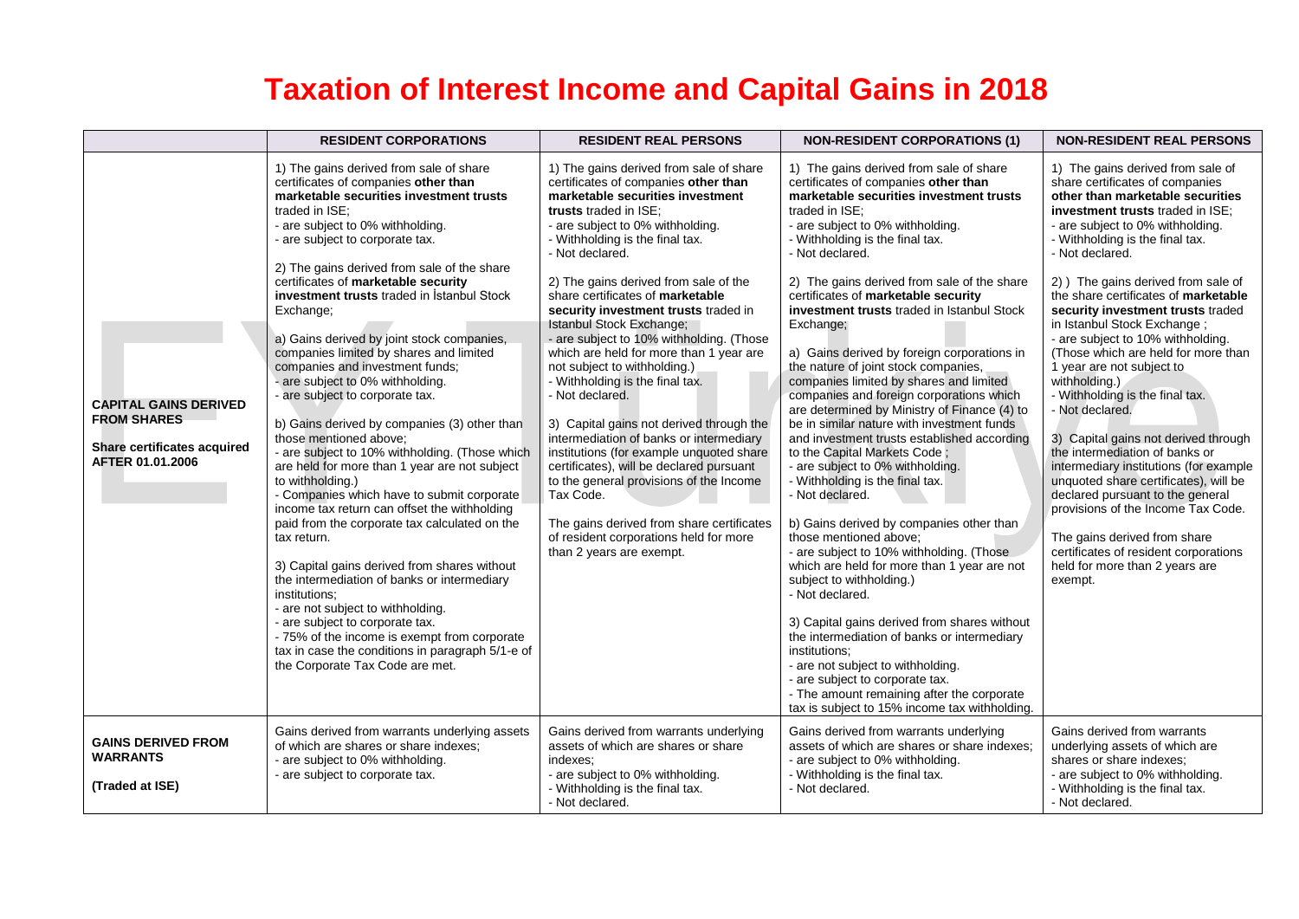## **Taxation of Interest Income and Capital Gains in 2018**

|                                                                                                       | <b>RESIDENT CORPORATIONS</b>                                                                                                                                                                                                                                                                                                                                                                                                                                                                                                                                                                                                                                                                                                                                                                                                                                                                                                                                                                                                                                                                                                                                                                                                                                          | <b>RESIDENT REAL PERSONS</b>                                                                                                                                                                                                                                                                                                                                                                                                                                                                                                                                                                                                                                                                                                                                                                                                                                                                                                   | <b>NON-RESIDENT CORPORATIONS (1)</b>                                                                                                                                                                                                                                                                                                                                                                                                                                                                                                                                                                                                                                                                                                                                                                                                                                                                                                                                                                                                                                                                                                                                                                                                                 | <b>NON-RESIDENT REAL PERSONS</b>                                                                                                                                                                                                                                                                                                                                                                                                                                                                                                                                                                                                                                                                                                                                                                                                                                                                                                     |
|-------------------------------------------------------------------------------------------------------|-----------------------------------------------------------------------------------------------------------------------------------------------------------------------------------------------------------------------------------------------------------------------------------------------------------------------------------------------------------------------------------------------------------------------------------------------------------------------------------------------------------------------------------------------------------------------------------------------------------------------------------------------------------------------------------------------------------------------------------------------------------------------------------------------------------------------------------------------------------------------------------------------------------------------------------------------------------------------------------------------------------------------------------------------------------------------------------------------------------------------------------------------------------------------------------------------------------------------------------------------------------------------|--------------------------------------------------------------------------------------------------------------------------------------------------------------------------------------------------------------------------------------------------------------------------------------------------------------------------------------------------------------------------------------------------------------------------------------------------------------------------------------------------------------------------------------------------------------------------------------------------------------------------------------------------------------------------------------------------------------------------------------------------------------------------------------------------------------------------------------------------------------------------------------------------------------------------------|------------------------------------------------------------------------------------------------------------------------------------------------------------------------------------------------------------------------------------------------------------------------------------------------------------------------------------------------------------------------------------------------------------------------------------------------------------------------------------------------------------------------------------------------------------------------------------------------------------------------------------------------------------------------------------------------------------------------------------------------------------------------------------------------------------------------------------------------------------------------------------------------------------------------------------------------------------------------------------------------------------------------------------------------------------------------------------------------------------------------------------------------------------------------------------------------------------------------------------------------------|--------------------------------------------------------------------------------------------------------------------------------------------------------------------------------------------------------------------------------------------------------------------------------------------------------------------------------------------------------------------------------------------------------------------------------------------------------------------------------------------------------------------------------------------------------------------------------------------------------------------------------------------------------------------------------------------------------------------------------------------------------------------------------------------------------------------------------------------------------------------------------------------------------------------------------------|
| <b>CAPITAL GAINS DERIVED</b><br><b>FROM SHARES</b><br>Share certificates acquired<br>AFTER 01.01.2006 | 1) The gains derived from sale of share<br>certificates of companies other than<br>marketable securities investment trusts<br>traded in ISE:<br>- are subject to 0% withholding.<br>- are subject to corporate tax.<br>2) The gains derived from sale of the share<br>certificates of marketable security<br>investment trusts traded in Istanbul Stock<br>Exchange;<br>a) Gains derived by joint stock companies,<br>companies limited by shares and limited<br>companies and investment funds;<br>- are subject to 0% withholding.<br>- are subject to corporate tax.<br>b) Gains derived by companies (3) other than<br>those mentioned above:<br>- are subject to 10% withholding. (Those which<br>are held for more than 1 year are not subject<br>to withholding.)<br>- Companies which have to submit corporate<br>income tax return can offset the withholding<br>paid from the corporate tax calculated on the<br>tax return.<br>3) Capital gains derived from shares without<br>the intermediation of banks or intermediary<br>institutions:<br>- are not subject to withholding.<br>- are subject to corporate tax.<br>- 75% of the income is exempt from corporate<br>tax in case the conditions in paragraph 5/1-e of<br>the Corporate Tax Code are met. | 1) The gains derived from sale of share<br>certificates of companies other than<br>marketable securities investment<br>trusts traded in ISE:<br>- are subject to 0% withholding.<br>- Withholding is the final tax.<br>- Not declared.<br>2) The gains derived from sale of the<br>share certificates of marketable<br>security investment trusts traded in<br>Istanbul Stock Exchange;<br>- are subject to 10% withholding. (Those<br>which are held for more than 1 year are<br>not subject to withholding.)<br>- Withholding is the final tax.<br>- Not declared.<br>3) Capital gains not derived through the<br>intermediation of banks or intermediary<br>institutions (for example unquoted share<br>certificates), will be declared pursuant<br>to the general provisions of the Income<br>Tax Code.<br>The gains derived from share certificates<br>of resident corporations held for more<br>than 2 years are exempt. | 1) The gains derived from sale of share<br>certificates of companies other than<br>marketable securities investment trusts<br>traded in ISE:<br>- are subject to 0% withholding.<br>- Withholding is the final tax.<br>- Not declared.<br>2) The gains derived from sale of the share<br>certificates of marketable security<br>investment trusts traded in Istanbul Stock<br>Exchange;<br>a) Gains derived by foreign corporations in<br>the nature of joint stock companies,<br>companies limited by shares and limited<br>companies and foreign corporations which<br>are determined by Ministry of Finance (4) to<br>be in similar nature with investment funds<br>and investment trusts established according<br>to the Capital Markets Code;<br>- are subject to 0% withholding.<br>- Withholding is the final tax.<br>- Not declared.<br>b) Gains derived by companies other than<br>those mentioned above;<br>- are subject to 10% withholding. (Those<br>which are held for more than 1 year are not<br>subject to withholding.)<br>- Not declared.<br>3) Capital gains derived from shares without<br>the intermediation of banks or intermediary<br>institutions;<br>- are not subject to withholding.<br>- are subject to corporate tax. | 1) The gains derived from sale of<br>share certificates of companies<br>other than marketable securities<br>investment trusts traded in ISE:<br>- are subject to 0% withholding.<br>- Withholding is the final tax.<br>- Not declared.<br>2) The gains derived from sale of<br>the share certificates of marketable<br>security investment trusts traded<br>in Istanbul Stock Exchange;<br>- are subject to 10% withholding.<br>(Those which are held for more than<br>1 year are not subject to<br>withholding.)<br>- Withholding is the final tax.<br>- Not declared.<br>3) Capital gains not derived through<br>the intermediation of banks or<br>intermediary institutions (for example<br>unquoted share certificates), will be<br>declared pursuant to the general<br>provisions of the Income Tax Code.<br>The gains derived from share<br>certificates of resident corporations<br>held for more than 2 years are<br>exempt. |
|                                                                                                       |                                                                                                                                                                                                                                                                                                                                                                                                                                                                                                                                                                                                                                                                                                                                                                                                                                                                                                                                                                                                                                                                                                                                                                                                                                                                       |                                                                                                                                                                                                                                                                                                                                                                                                                                                                                                                                                                                                                                                                                                                                                                                                                                                                                                                                | - The amount remaining after the corporate<br>tax is subject to 15% income tax withholding.                                                                                                                                                                                                                                                                                                                                                                                                                                                                                                                                                                                                                                                                                                                                                                                                                                                                                                                                                                                                                                                                                                                                                          |                                                                                                                                                                                                                                                                                                                                                                                                                                                                                                                                                                                                                                                                                                                                                                                                                                                                                                                                      |
| <b>GAINS DERIVED FROM</b><br><b>WARRANTS</b><br>(Traded at ISE)                                       | Gains derived from warrants underlying assets<br>of which are shares or share indexes:<br>- are subject to 0% withholding.<br>- are subject to corporate tax.                                                                                                                                                                                                                                                                                                                                                                                                                                                                                                                                                                                                                                                                                                                                                                                                                                                                                                                                                                                                                                                                                                         | Gains derived from warrants underlying<br>assets of which are shares or share<br>indexes:<br>- are subject to 0% withholding.<br>- Withholding is the final tax.<br>- Not declared.                                                                                                                                                                                                                                                                                                                                                                                                                                                                                                                                                                                                                                                                                                                                            | Gains derived from warrants underlying<br>assets of which are shares or share indexes:<br>- are subject to 0% withholding.<br>- Withholding is the final tax.<br>- Not declared.                                                                                                                                                                                                                                                                                                                                                                                                                                                                                                                                                                                                                                                                                                                                                                                                                                                                                                                                                                                                                                                                     | Gains derived from warrants<br>underlying assets of which are<br>shares or share indexes;<br>- are subject to 0% withholding.<br>- Withholding is the final tax.<br>- Not declared.                                                                                                                                                                                                                                                                                                                                                                                                                                                                                                                                                                                                                                                                                                                                                  |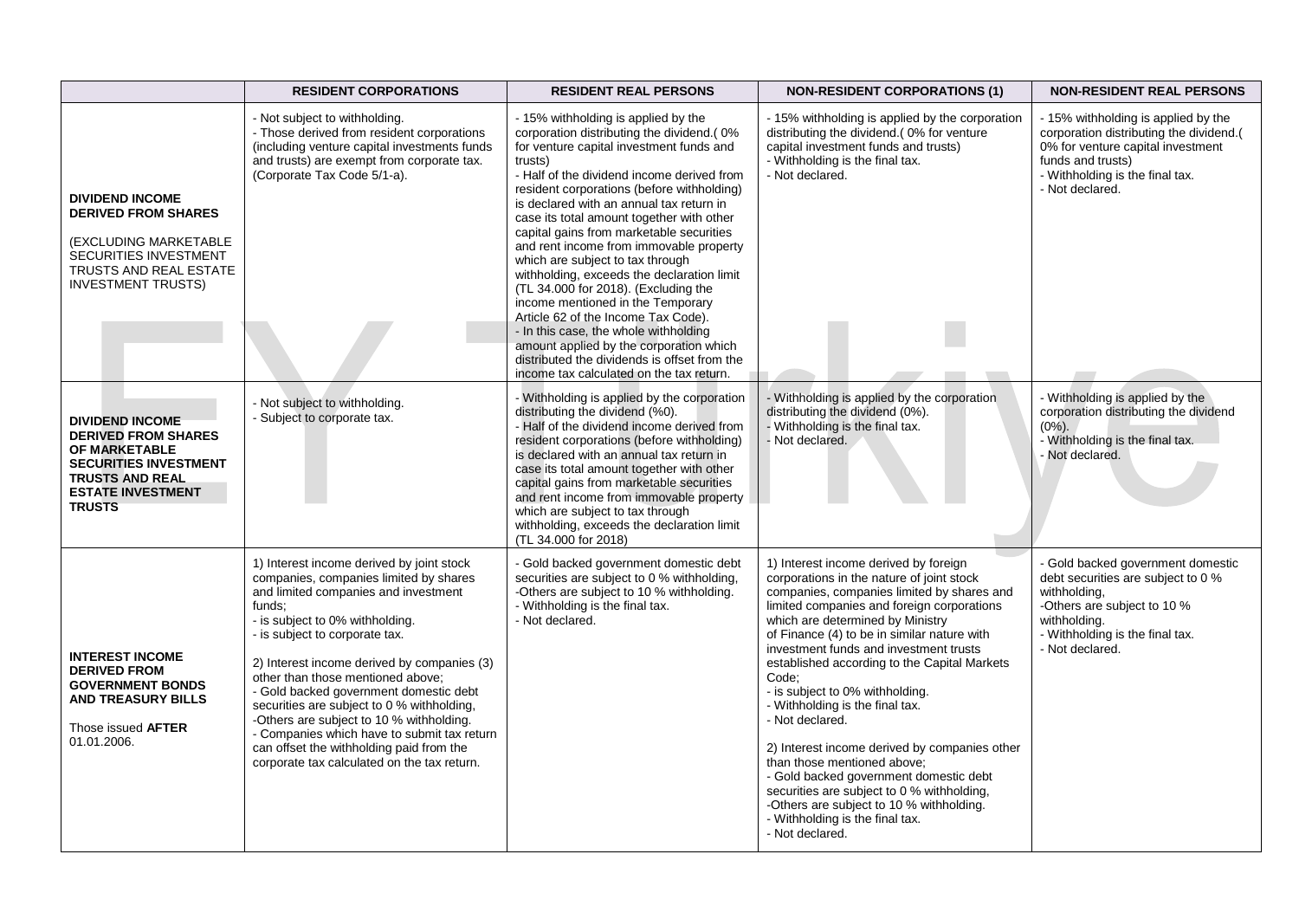|                                                                                                                                                                              | <b>RESIDENT CORPORATIONS</b>                                                                                                                                                                                                                                                                                                                                                                                                                                                                                                                                               | <b>RESIDENT REAL PERSONS</b>                                                                                                                                                                                                                                                                                                                                                                                                                                                                                                                                                                                                                                                                                                                                                                              | <b>NON-RESIDENT CORPORATIONS (1)</b>                                                                                                                                                                                                                                                                                                                                                                                                                                                                                                                                                                                                                                                                                                    | <b>NON-RESIDENT REAL PERSONS</b>                                                                                                                                                               |
|------------------------------------------------------------------------------------------------------------------------------------------------------------------------------|----------------------------------------------------------------------------------------------------------------------------------------------------------------------------------------------------------------------------------------------------------------------------------------------------------------------------------------------------------------------------------------------------------------------------------------------------------------------------------------------------------------------------------------------------------------------------|-----------------------------------------------------------------------------------------------------------------------------------------------------------------------------------------------------------------------------------------------------------------------------------------------------------------------------------------------------------------------------------------------------------------------------------------------------------------------------------------------------------------------------------------------------------------------------------------------------------------------------------------------------------------------------------------------------------------------------------------------------------------------------------------------------------|-----------------------------------------------------------------------------------------------------------------------------------------------------------------------------------------------------------------------------------------------------------------------------------------------------------------------------------------------------------------------------------------------------------------------------------------------------------------------------------------------------------------------------------------------------------------------------------------------------------------------------------------------------------------------------------------------------------------------------------------|------------------------------------------------------------------------------------------------------------------------------------------------------------------------------------------------|
| <b>DIVIDEND INCOME</b><br><b>DERIVED FROM SHARES</b><br>(EXCLUDING MARKETABLE<br><b>SECURITIES INVESTMENT</b><br><b>TRUSTS AND REAL ESTATE</b><br><b>INVESTMENT TRUSTS)</b>  | - Not subject to withholding.<br>- Those derived from resident corporations<br>(including venture capital investments funds<br>and trusts) are exempt from corporate tax.<br>(Corporate Tax Code 5/1-a).                                                                                                                                                                                                                                                                                                                                                                   | - 15% withholding is applied by the<br>corporation distributing the dividend.(0%<br>for venture capital investment funds and<br>trusts)<br>- Half of the dividend income derived from<br>resident corporations (before withholding)<br>is declared with an annual tax return in<br>case its total amount together with other<br>capital gains from marketable securities<br>and rent income from immovable property<br>which are subject to tax through<br>withholding, exceeds the declaration limit<br>(TL 34.000 for 2018). (Excluding the<br>income mentioned in the Temporary<br>Article 62 of the Income Tax Code).<br>- In this case, the whole withholding<br>amount applied by the corporation which<br>distributed the dividends is offset from the<br>income tax calculated on the tax return. | - 15% withholding is applied by the corporation<br>distributing the dividend.(0% for venture<br>capital investment funds and trusts)<br>- Withholding is the final tax.<br>- Not declared.                                                                                                                                                                                                                                                                                                                                                                                                                                                                                                                                              | - 15% withholding is applied by the<br>corporation distributing the dividend.(<br>0% for venture capital investment<br>funds and trusts)<br>- Withholding is the final tax.<br>- Not declared. |
| <b>DIVIDEND INCOME</b><br><b>DERIVED FROM SHARES</b><br>OF MARKETABLE<br><b>SECURITIES INVESTMENT</b><br><b>TRUSTS AND REAL</b><br><b>ESTATE INVESTMENT</b><br><b>TRUSTS</b> | - Not subject to withholding.<br>Subject to corporate tax.                                                                                                                                                                                                                                                                                                                                                                                                                                                                                                                 | Withholding is applied by the corporation<br>distributing the dividend (%0).<br>- Half of the dividend income derived from<br>resident corporations (before withholding)<br>is declared with an annual tax return in<br>case its total amount together with other<br>capital gains from marketable securities<br>and rent income from immovable property<br>which are subject to tax through<br>withholding, exceeds the declaration limit<br>(TL 34.000 for 2018)                                                                                                                                                                                                                                                                                                                                        | - Withholding is applied by the corporation<br>distributing the dividend (0%).<br>- Withholding is the final tax.<br>- Not declared.                                                                                                                                                                                                                                                                                                                                                                                                                                                                                                                                                                                                    | - Withholding is applied by the<br>corporation distributing the dividend<br>$(0\%)$ .<br>- Withholding is the final tax.<br>- Not declared.                                                    |
| <b>INTEREST INCOME</b><br><b>DERIVED FROM</b><br><b>GOVERNMENT BONDS</b><br><b>AND TREASURY BILLS</b><br>Those issued <b>AFTER</b><br>01.01.2006.                            | 1) Interest income derived by joint stock<br>companies, companies limited by shares<br>and limited companies and investment<br>funds:<br>- is subject to 0% withholding.<br>is subject to corporate tax.<br>2) Interest income derived by companies (3)<br>other than those mentioned above:<br>- Gold backed government domestic debt<br>securities are subject to 0 % withholding,<br>-Others are subject to 10 % withholding.<br>- Companies which have to submit tax return<br>can offset the withholding paid from the<br>corporate tax calculated on the tax return. | - Gold backed government domestic debt<br>securities are subject to 0 % withholding,<br>-Others are subject to 10 % withholding.<br>- Withholding is the final tax.<br>- Not declared.                                                                                                                                                                                                                                                                                                                                                                                                                                                                                                                                                                                                                    | 1) Interest income derived by foreign<br>corporations in the nature of joint stock<br>companies, companies limited by shares and<br>limited companies and foreign corporations<br>which are determined by Ministry<br>of Finance (4) to be in similar nature with<br>investment funds and investment trusts<br>established according to the Capital Markets<br>Code:<br>- is subject to 0% withholding.<br>- Withholding is the final tax.<br>- Not declared.<br>2) Interest income derived by companies other<br>than those mentioned above:<br>- Gold backed government domestic debt<br>securities are subject to 0 % withholding,<br>-Others are subject to 10 % withholding.<br>- Withholding is the final tax.<br>- Not declared. | - Gold backed government domestic<br>debt securities are subject to 0 %<br>withholding,<br>-Others are subject to 10 %<br>withholding.<br>- Withholding is the final tax.<br>- Not declared.   |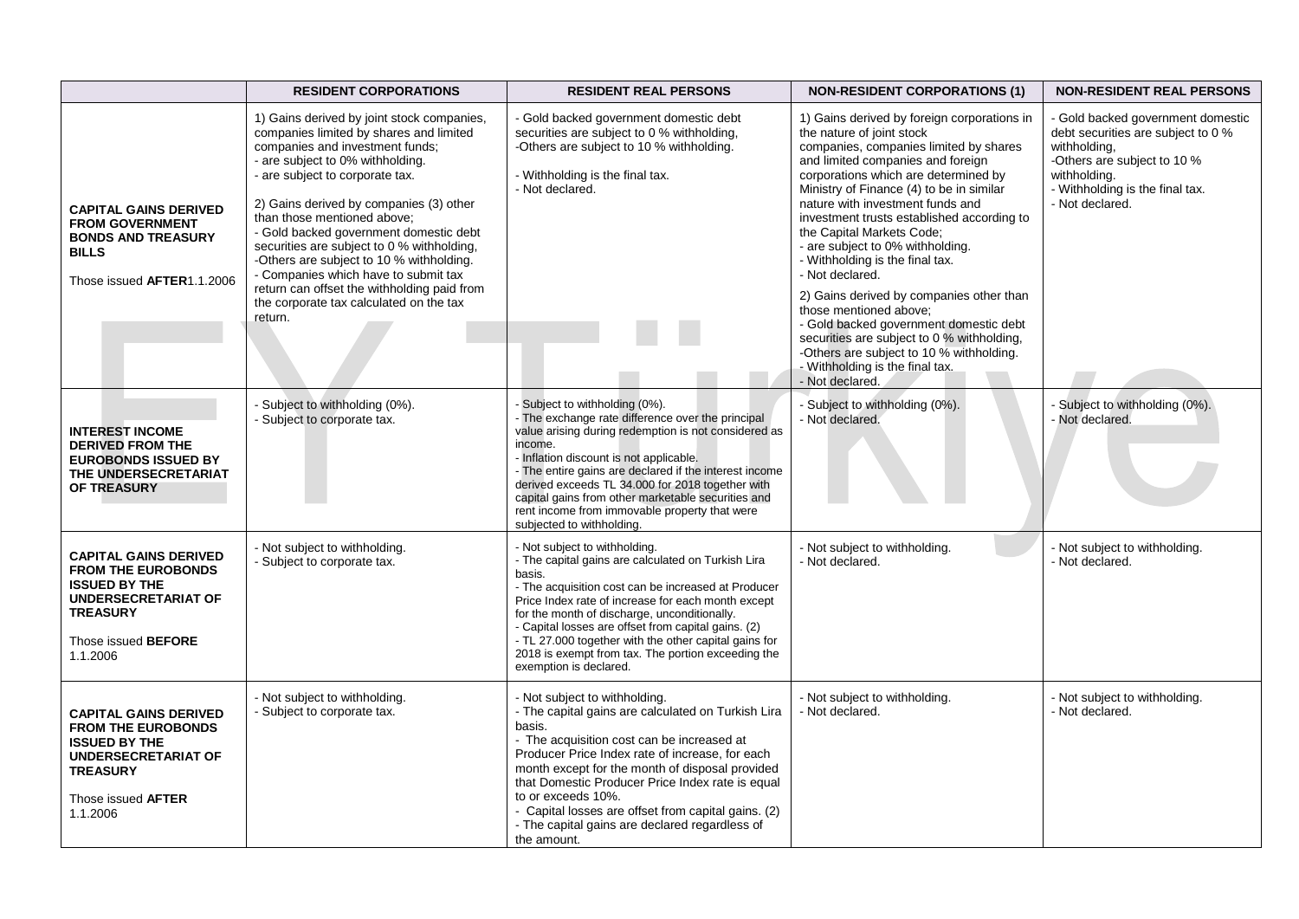|                                                                                                                                                                       | <b>RESIDENT CORPORATIONS</b>                                                                                                                                                                                                                                                                                                                                                                                                                                                                                                                               | <b>RESIDENT REAL PERSONS</b>                                                                                                                                                                                                                                                                                                                                                                                                                               | <b>NON-RESIDENT CORPORATIONS (1)</b>                                                                                                                                                                                                                                                                                                                                                                                                                                                                                                                                                                                                                                                                                 | <b>NON-RESIDENT REAL PERSONS</b>                                                                                                                                                             |
|-----------------------------------------------------------------------------------------------------------------------------------------------------------------------|------------------------------------------------------------------------------------------------------------------------------------------------------------------------------------------------------------------------------------------------------------------------------------------------------------------------------------------------------------------------------------------------------------------------------------------------------------------------------------------------------------------------------------------------------------|------------------------------------------------------------------------------------------------------------------------------------------------------------------------------------------------------------------------------------------------------------------------------------------------------------------------------------------------------------------------------------------------------------------------------------------------------------|----------------------------------------------------------------------------------------------------------------------------------------------------------------------------------------------------------------------------------------------------------------------------------------------------------------------------------------------------------------------------------------------------------------------------------------------------------------------------------------------------------------------------------------------------------------------------------------------------------------------------------------------------------------------------------------------------------------------|----------------------------------------------------------------------------------------------------------------------------------------------------------------------------------------------|
| <b>CAPITAL GAINS DERIVED</b><br><b>FROM GOVERNMENT</b><br><b>BONDS AND TREASURY</b><br><b>BILLS</b><br>Those issued AFTER1.1.2006                                     | 1) Gains derived by joint stock companies,<br>companies limited by shares and limited<br>companies and investment funds;<br>- are subject to 0% withholding.<br>- are subject to corporate tax.<br>2) Gains derived by companies (3) other<br>than those mentioned above:<br>- Gold backed government domestic debt<br>securities are subject to 0 % withholding,<br>-Others are subject to 10 % withholding.<br>- Companies which have to submit tax<br>return can offset the withholding paid from<br>the corporate tax calculated on the tax<br>return. | - Gold backed government domestic debt<br>securities are subject to 0 % withholding,<br>-Others are subject to 10 % withholding.<br>- Withholding is the final tax.<br>- Not declared.                                                                                                                                                                                                                                                                     | 1) Gains derived by foreign corporations in<br>the nature of joint stock<br>companies, companies limited by shares<br>and limited companies and foreign<br>corporations which are determined by<br>Ministry of Finance (4) to be in similar<br>nature with investment funds and<br>investment trusts established according to<br>the Capital Markets Code;<br>- are subject to 0% withholding.<br>- Withholding is the final tax.<br>- Not declared.<br>2) Gains derived by companies other than<br>those mentioned above:<br>- Gold backed government domestic debt<br>securities are subject to 0 % withholding,<br>-Others are subject to 10 % withholding.<br>- Withholding is the final tax.<br>- Not declared. | - Gold backed government domestic<br>debt securities are subject to 0 %<br>withholding,<br>-Others are subject to 10 %<br>withholding.<br>- Withholding is the final tax.<br>- Not declared. |
| <b>INTEREST INCOME</b><br><b>DERIVED FROM THE</b><br><b>EUROBONDS ISSUED BY</b><br>THE UNDERSECRETARIAT<br>OF TREASURY                                                | - Subject to withholding (0%).<br>- Subject to corporate tax.                                                                                                                                                                                                                                                                                                                                                                                                                                                                                              | Subject to withholding (0%).<br>The exchange rate difference over the principal<br>value arising during redemption is not considered as<br>income.<br>- Inflation discount is not applicable.<br>- The entire gains are declared if the interest income<br>derived exceeds TL 34.000 for 2018 together with<br>capital gains from other marketable securities and<br>rent income from immovable property that were<br>subjected to withholding.            | - Subject to withholding (0%).<br>- Not declared.                                                                                                                                                                                                                                                                                                                                                                                                                                                                                                                                                                                                                                                                    | - Subject to withholding (0%).<br>- Not declared.                                                                                                                                            |
| <b>CAPITAL GAINS DERIVED</b><br><b>FROM THE EUROBONDS</b><br><b>ISSUED BY THE</b><br>UNDERSECRETARIAT OF<br><b>TREASURY</b><br>Those issued <b>BEFORE</b><br>1.1.2006 | - Not subject to withholding.<br>- Subject to corporate tax.                                                                                                                                                                                                                                                                                                                                                                                                                                                                                               | - Not subject to withholding.<br>- The capital gains are calculated on Turkish Lira<br>basis.<br>- The acquisition cost can be increased at Producer<br>Price Index rate of increase for each month except<br>for the month of discharge, unconditionally.<br>- Capital losses are offset from capital gains. (2)<br>- TL 27.000 together with the other capital gains for<br>2018 is exempt from tax. The portion exceeding the<br>exemption is declared. | - Not subject to withholding.<br>- Not declared.                                                                                                                                                                                                                                                                                                                                                                                                                                                                                                                                                                                                                                                                     | - Not subject to withholding.<br>- Not declared.                                                                                                                                             |
| <b>CAPITAL GAINS DERIVED</b><br><b>FROM THE EUROBONDS</b><br><b>ISSUED BY THE</b><br>UNDERSECRETARIAT OF<br><b>TREASURY</b><br>Those issued AFTER<br>1.1.2006         | - Not subject to withholding.<br>- Subject to corporate tax.                                                                                                                                                                                                                                                                                                                                                                                                                                                                                               | - Not subject to withholding.<br>- The capital gains are calculated on Turkish Lira<br>basis.<br>- The acquisition cost can be increased at<br>Producer Price Index rate of increase, for each<br>month except for the month of disposal provided<br>that Domestic Producer Price Index rate is equal<br>to or exceeds 10%.<br>- Capital losses are offset from capital gains. (2)<br>- The capital gains are declared regardless of<br>the amount.        | - Not subject to withholding.<br>- Not declared.                                                                                                                                                                                                                                                                                                                                                                                                                                                                                                                                                                                                                                                                     | - Not subject to withholding.<br>- Not declared.                                                                                                                                             |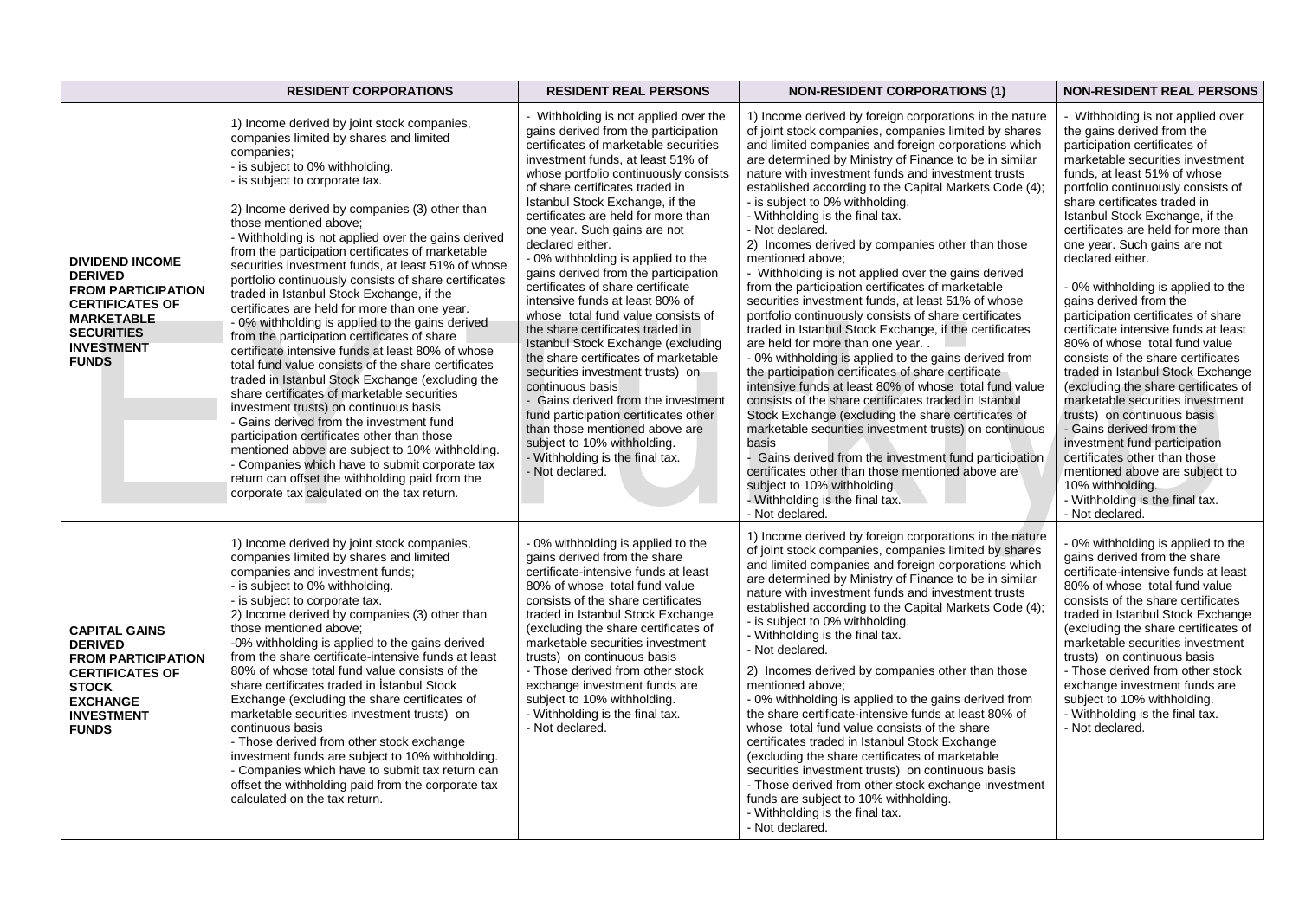|                                                                                                                                                                                | <b>RESIDENT CORPORATIONS</b>                                                                                                                                                                                                                                                                                                                                                                                                                                                                                                                                                                                                                                                                                                                                                                                                                                                                                                                                                                                                                                                                                                                                                                                                                 | <b>RESIDENT REAL PERSONS</b>                                                                                                                                                                                                                                                                                                                                                                                                                                                                                                                                                                                                                                                                                                                                                                                                                                                                                                                       | <b>NON-RESIDENT CORPORATIONS (1)</b>                                                                                                                                                                                                                                                                                                                                                                                                                                                                                                                                                                                                                                                                                                                                                                                                                                                                                                                                                                                                                                                                                                                                                                                                                                                                                                                                                                         | <b>NON-RESIDENT REAL PERSONS</b>                                                                                                                                                                                                                                                                                                                                                                                                                                                                                                                                                                                                                                                                                                                                                                                                                                                                                                                         |
|--------------------------------------------------------------------------------------------------------------------------------------------------------------------------------|----------------------------------------------------------------------------------------------------------------------------------------------------------------------------------------------------------------------------------------------------------------------------------------------------------------------------------------------------------------------------------------------------------------------------------------------------------------------------------------------------------------------------------------------------------------------------------------------------------------------------------------------------------------------------------------------------------------------------------------------------------------------------------------------------------------------------------------------------------------------------------------------------------------------------------------------------------------------------------------------------------------------------------------------------------------------------------------------------------------------------------------------------------------------------------------------------------------------------------------------|----------------------------------------------------------------------------------------------------------------------------------------------------------------------------------------------------------------------------------------------------------------------------------------------------------------------------------------------------------------------------------------------------------------------------------------------------------------------------------------------------------------------------------------------------------------------------------------------------------------------------------------------------------------------------------------------------------------------------------------------------------------------------------------------------------------------------------------------------------------------------------------------------------------------------------------------------|--------------------------------------------------------------------------------------------------------------------------------------------------------------------------------------------------------------------------------------------------------------------------------------------------------------------------------------------------------------------------------------------------------------------------------------------------------------------------------------------------------------------------------------------------------------------------------------------------------------------------------------------------------------------------------------------------------------------------------------------------------------------------------------------------------------------------------------------------------------------------------------------------------------------------------------------------------------------------------------------------------------------------------------------------------------------------------------------------------------------------------------------------------------------------------------------------------------------------------------------------------------------------------------------------------------------------------------------------------------------------------------------------------------|----------------------------------------------------------------------------------------------------------------------------------------------------------------------------------------------------------------------------------------------------------------------------------------------------------------------------------------------------------------------------------------------------------------------------------------------------------------------------------------------------------------------------------------------------------------------------------------------------------------------------------------------------------------------------------------------------------------------------------------------------------------------------------------------------------------------------------------------------------------------------------------------------------------------------------------------------------|
| <b>DIVIDEND INCOME</b><br><b>DERIVED</b><br><b>FROM PARTICIPATION</b><br><b>CERTIFICATES OF</b><br><b>MARKETABLE</b><br><b>SECURITIES</b><br><b>INVESTMENT</b><br><b>FUNDS</b> | 1) Income derived by joint stock companies,<br>companies limited by shares and limited<br>companies;<br>- is subject to 0% withholding.<br>- is subject to corporate tax.<br>2) Income derived by companies (3) other than<br>those mentioned above;<br>- Withholding is not applied over the gains derived<br>from the participation certificates of marketable<br>securities investment funds, at least 51% of whose<br>portfolio continuously consists of share certificates<br>traded in Istanbul Stock Exchange, if the<br>certificates are held for more than one year.<br>- 0% withholding is applied to the gains derived<br>from the participation certificates of share<br>certificate intensive funds at least 80% of whose<br>total fund value consists of the share certificates<br>traded in Istanbul Stock Exchange (excluding the<br>share certificates of marketable securities<br>investment trusts) on continuous basis<br>- Gains derived from the investment fund<br>participation certificates other than those<br>mentioned above are subject to 10% withholding.<br>- Companies which have to submit corporate tax<br>return can offset the withholding paid from the<br>corporate tax calculated on the tax return. | - Withholding is not applied over the<br>gains derived from the participation<br>certificates of marketable securities<br>investment funds, at least 51% of<br>whose portfolio continuously consists<br>of share certificates traded in<br>Istanbul Stock Exchange, if the<br>certificates are held for more than<br>one year. Such gains are not<br>declared either.<br>- 0% withholding is applied to the<br>gains derived from the participation<br>certificates of share certificate<br>intensive funds at least 80% of<br>whose total fund value consists of<br>the share certificates traded in<br>Istanbul Stock Exchange (excluding<br>the share certificates of marketable<br>securities investment trusts) on<br>continuous basis<br>- Gains derived from the investment<br>fund participation certificates other<br>than those mentioned above are<br>subject to 10% withholding.<br>- Withholding is the final tax.<br>- Not declared. | 1) Income derived by foreign corporations in the nature<br>of joint stock companies, companies limited by shares<br>and limited companies and foreign corporations which<br>are determined by Ministry of Finance to be in similar<br>nature with investment funds and investment trusts<br>established according to the Capital Markets Code (4);<br>- is subject to 0% withholding.<br>- Withholding is the final tax.<br>- Not declared.<br>2) Incomes derived by companies other than those<br>mentioned above;<br>- Withholding is not applied over the gains derived<br>from the participation certificates of marketable<br>securities investment funds, at least 51% of whose<br>portfolio continuously consists of share certificates<br>traded in Istanbul Stock Exchange, if the certificates<br>are held for more than one year<br>- 0% withholding is applied to the gains derived from<br>the participation certificates of share certificate<br>intensive funds at least 80% of whose total fund value<br>consists of the share certificates traded in Istanbul<br>Stock Exchange (excluding the share certificates of<br>marketable securities investment trusts) on continuous<br>basis<br>- Gains derived from the investment fund participation<br>certificates other than those mentioned above are<br>subject to 10% withholding.<br>- Withholding is the final tax.<br>- Not declared. | - Withholding is not applied over<br>the gains derived from the<br>participation certificates of<br>marketable securities investment<br>funds, at least 51% of whose<br>portfolio continuously consists of<br>share certificates traded in<br>Istanbul Stock Exchange, if the<br>certificates are held for more than<br>one year. Such gains are not<br>declared either.<br>- 0% withholding is applied to the<br>gains derived from the<br>participation certificates of share<br>certificate intensive funds at least<br>80% of whose total fund value<br>consists of the share certificates<br>traded in Istanbul Stock Exchange<br>(excluding the share certificates of<br>marketable securities investment<br>trusts) on continuous basis<br>- Gains derived from the<br>investment fund participation<br>certificates other than those<br>mentioned above are subject to<br>10% withholding.<br>- Withholding is the final tax.<br>- Not declared. |
| <b>CAPITAL GAINS</b><br><b>DERIVED</b><br><b>FROM PARTICIPATION</b><br><b>CERTIFICATES OF</b><br><b>STOCK</b><br><b>EXCHANGE</b><br><b>INVESTMENT</b><br><b>FUNDS</b>          | 1) Income derived by joint stock companies,<br>companies limited by shares and limited<br>companies and investment funds;<br>- is subject to 0% withholding.<br>- is subject to corporate tax.<br>2) Income derived by companies (3) other than<br>those mentioned above;<br>-0% withholding is applied to the gains derived<br>from the share certificate-intensive funds at least<br>80% of whose total fund value consists of the<br>share certificates traded in Istanbul Stock<br>Exchange (excluding the share certificates of<br>marketable securities investment trusts) on<br>continuous basis<br>- Those derived from other stock exchange<br>investment funds are subject to 10% withholding.<br>- Companies which have to submit tax return can<br>offset the withholding paid from the corporate tax<br>calculated on the tax return.                                                                                                                                                                                                                                                                                                                                                                                           | - 0% withholding is applied to the<br>gains derived from the share<br>certificate-intensive funds at least<br>80% of whose total fund value<br>consists of the share certificates<br>traded in Istanbul Stock Exchange<br>(excluding the share certificates of<br>marketable securities investment<br>trusts) on continuous basis<br>- Those derived from other stock<br>exchange investment funds are<br>subject to 10% withholding.<br>- Withholding is the final tax.<br>- Not declared.                                                                                                                                                                                                                                                                                                                                                                                                                                                        | 1) Income derived by foreign corporations in the nature<br>of joint stock companies, companies limited by shares<br>and limited companies and foreign corporations which<br>are determined by Ministry of Finance to be in similar<br>nature with investment funds and investment trusts<br>established according to the Capital Markets Code (4);<br>- is subject to 0% withholding.<br>- Withholding is the final tax.<br>- Not declared.<br>2) Incomes derived by companies other than those<br>mentioned above;<br>- 0% withholding is applied to the gains derived from<br>the share certificate-intensive funds at least 80% of<br>whose total fund value consists of the share<br>certificates traded in Istanbul Stock Exchange<br>(excluding the share certificates of marketable<br>securities investment trusts) on continuous basis<br>- Those derived from other stock exchange investment<br>funds are subject to 10% withholding.<br>- Withholding is the final tax.<br>- Not declared.                                                                                                                                                                                                                                                                                                                                                                                                       | 0% withholding is applied to the<br>gains derived from the share<br>certificate-intensive funds at least<br>80% of whose total fund value<br>consists of the share certificates<br>traded in Istanbul Stock Exchange<br>(excluding the share certificates of<br>marketable securities investment<br>trusts) on continuous basis<br>- Those derived from other stock<br>exchange investment funds are<br>subject to 10% withholding.<br>- Withholding is the final tax.<br>- Not declared.                                                                                                                                                                                                                                                                                                                                                                                                                                                                |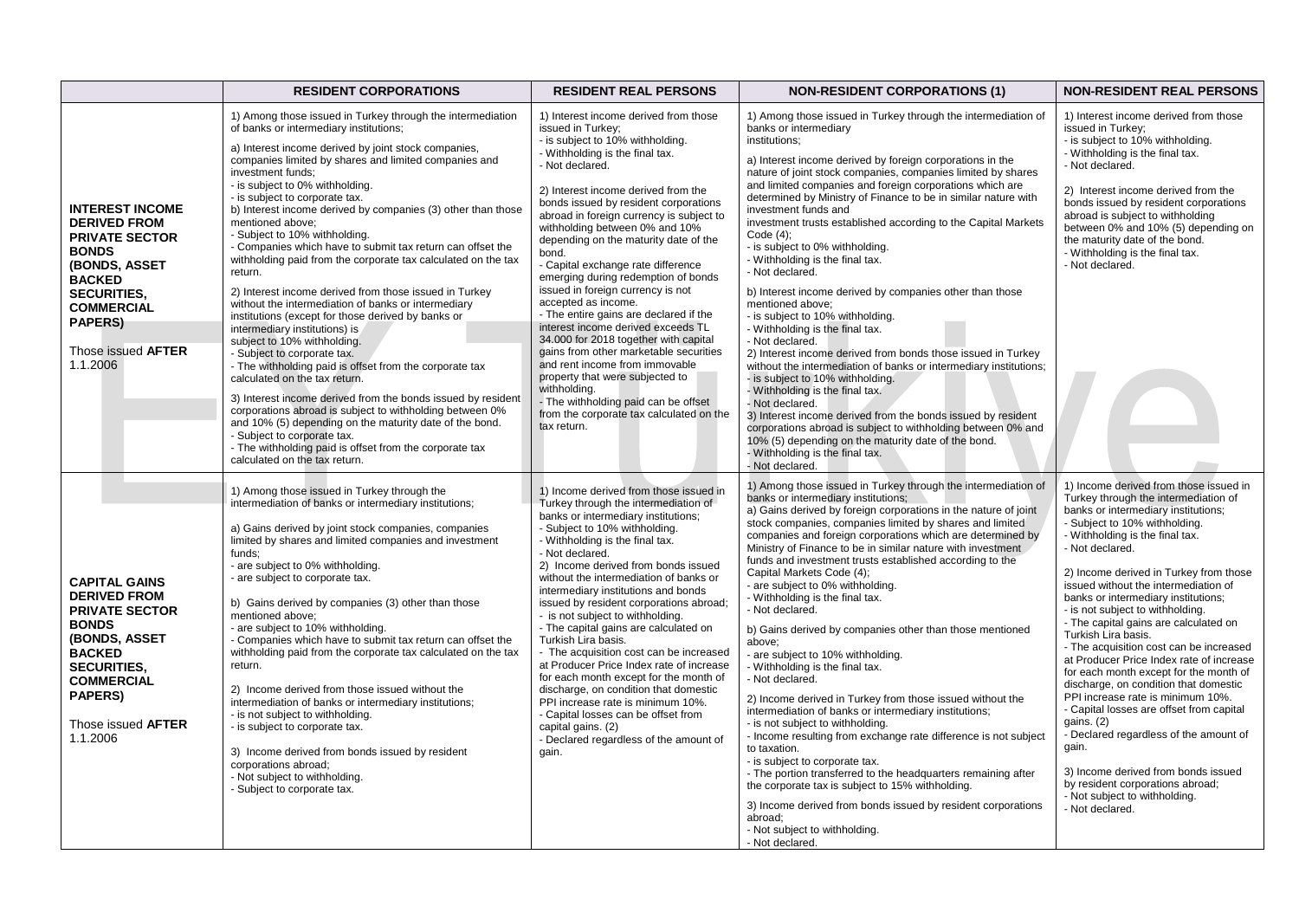|                                                                                                                                                                                                                       | <b>RESIDENT CORPORATIONS</b>                                                                                                                                                                                                                                                                                                                                                                                                                                                                                                                                                                                                                                                                                                                                                                                                                                                                                                                                                                                                                                                                                                                                                                                                                                       | <b>RESIDENT REAL PERSONS</b>                                                                                                                                                                                                                                                                                                                                                                                                                                                                                                                                                                                                                                                                                                                                                                                                                                             | <b>NON-RESIDENT CORPORATIONS (1)</b>                                                                                                                                                                                                                                                                                                                                                                                                                                                                                                                                                                                                                                                                                                                                                                                                                                                                                                                                                                                                                                                                                                                                                                                                                    | <b>NON-RESIDENT REAL PERSONS</b>                                                                                                                                                                                                                                                                                                                                                                                                                                                                                                                                                                                                                                                                                                                                                                                                                                                                     |
|-----------------------------------------------------------------------------------------------------------------------------------------------------------------------------------------------------------------------|--------------------------------------------------------------------------------------------------------------------------------------------------------------------------------------------------------------------------------------------------------------------------------------------------------------------------------------------------------------------------------------------------------------------------------------------------------------------------------------------------------------------------------------------------------------------------------------------------------------------------------------------------------------------------------------------------------------------------------------------------------------------------------------------------------------------------------------------------------------------------------------------------------------------------------------------------------------------------------------------------------------------------------------------------------------------------------------------------------------------------------------------------------------------------------------------------------------------------------------------------------------------|--------------------------------------------------------------------------------------------------------------------------------------------------------------------------------------------------------------------------------------------------------------------------------------------------------------------------------------------------------------------------------------------------------------------------------------------------------------------------------------------------------------------------------------------------------------------------------------------------------------------------------------------------------------------------------------------------------------------------------------------------------------------------------------------------------------------------------------------------------------------------|---------------------------------------------------------------------------------------------------------------------------------------------------------------------------------------------------------------------------------------------------------------------------------------------------------------------------------------------------------------------------------------------------------------------------------------------------------------------------------------------------------------------------------------------------------------------------------------------------------------------------------------------------------------------------------------------------------------------------------------------------------------------------------------------------------------------------------------------------------------------------------------------------------------------------------------------------------------------------------------------------------------------------------------------------------------------------------------------------------------------------------------------------------------------------------------------------------------------------------------------------------|------------------------------------------------------------------------------------------------------------------------------------------------------------------------------------------------------------------------------------------------------------------------------------------------------------------------------------------------------------------------------------------------------------------------------------------------------------------------------------------------------------------------------------------------------------------------------------------------------------------------------------------------------------------------------------------------------------------------------------------------------------------------------------------------------------------------------------------------------------------------------------------------------|
| <b>INTEREST INCOME</b><br><b>DERIVED FROM</b><br><b>PRIVATE SECTOR</b><br><b>BONDS</b><br>(BONDS, ASSET<br><b>BACKED</b><br><b>SECURITIES,</b><br><b>COMMERCIAL</b><br>PAPERS)<br>Those issued AFTER<br>1.1.2006      | 1) Among those issued in Turkey through the intermediation<br>of banks or intermediary institutions;<br>a) Interest income derived by joint stock companies,<br>companies limited by shares and limited companies and<br>investment funds;<br>- is subject to 0% withholding.<br>- is subject to corporate tax.<br>b) Interest income derived by companies (3) other than those<br>mentioned above:<br>- Subject to 10% withholding.<br>- Companies which have to submit tax return can offset the<br>withholding paid from the corporate tax calculated on the tax<br>return.<br>2) Interest income derived from those issued in Turkey<br>without the intermediation of banks or intermediary<br>institutions (except for those derived by banks or<br>intermediary institutions) is<br>subject to 10% withholding.<br>- Subject to corporate tax.<br>- The withholding paid is offset from the corporate tax<br>calculated on the tax return.<br>3) Interest income derived from the bonds issued by resident<br>corporations abroad is subject to withholding between 0%<br>and 10% (5) depending on the maturity date of the bond.<br>- Subject to corporate tax.<br>- The withholding paid is offset from the corporate tax<br>calculated on the tax return. | 1) Interest income derived from those<br>issued in Turkey;<br>- is subject to 10% withholding.<br>- Withholding is the final tax.<br>- Not declared.<br>2) Interest income derived from the<br>bonds issued by resident corporations<br>abroad in foreign currency is subject to<br>withholding between 0% and 10%<br>depending on the maturity date of the<br>bond.<br>- Capital exchange rate difference<br>emerging during redemption of bonds<br>issued in foreign currency is not<br>accepted as income.<br>- The entire gains are declared if the<br>interest income derived exceeds TL<br>34.000 for 2018 together with capital<br>gains from other marketable securities<br>and rent income from immovable<br>property that were subjected to<br>withholding.<br>- The withholding paid can be offset<br>from the corporate tax calculated on the<br>tax return. | 1) Among those issued in Turkey through the intermediation of<br>banks or intermediary<br>institutions;<br>a) Interest income derived by foreign corporations in the<br>nature of joint stock companies, companies limited by shares<br>and limited companies and foreign corporations which are<br>determined by Ministry of Finance to be in similar nature with<br>investment funds and<br>investment trusts established according to the Capital Markets<br>Code $(4)$ :<br>- is subject to 0% withholding.<br>- Withholding is the final tax.<br>- Not declared.<br>b) Interest income derived by companies other than those<br>mentioned above;<br>- is subject to 10% withholding.<br>- Withholding is the final tax.<br>- Not declared.<br>2) Interest income derived from bonds those issued in Turkey<br>without the intermediation of banks or intermediary institutions;<br>- is subject to 10% withholding.<br>- Withholding is the final tax.<br>- Not declared.<br>3) Interest income derived from the bonds issued by resident<br>corporations abroad is subject to withholding between 0% and<br>10% (5) depending on the maturity date of the bond.<br>- Withholding is the final tax.<br>Not declared.                               | 1) Interest income derived from those<br>issued in Turkey;<br>- is subject to 10% withholding.<br>- Withholding is the final tax.<br>- Not declared.<br>2) Interest income derived from the<br>bonds issued by resident corporations<br>abroad is subject to withholding<br>between 0% and 10% (5) depending on<br>the maturity date of the bond.<br>- Withholding is the final tax.<br>- Not declared.                                                                                                                                                                                                                                                                                                                                                                                                                                                                                              |
| <b>CAPITAL GAINS</b><br><b>DERIVED FROM</b><br><b>PRIVATE SECTOR</b><br><b>BONDS</b><br>(BONDS, ASSET<br><b>BACKED</b><br><b>SECURITIES.</b><br><b>COMMERCIAL</b><br><b>PAPERS)</b><br>Those issued AFTER<br>1.1.2006 | 1) Among those issued in Turkey through the<br>intermediation of banks or intermediary institutions;<br>a) Gains derived by joint stock companies, companies<br>limited by shares and limited companies and investment<br>funds:<br>- are subject to 0% withholding.<br>- are subject to corporate tax.<br>b) Gains derived by companies (3) other than those<br>mentioned above:<br>- are subject to 10% withholding.<br>- Companies which have to submit tax return can offset the<br>withholding paid from the corporate tax calculated on the tax<br>return.<br>2) Income derived from those issued without the<br>intermediation of banks or intermediary institutions;<br>- is not subject to withholding.<br>- is subject to corporate tax.<br>3) Income derived from bonds issued by resident<br>corporations abroad;<br>- Not subject to withholding.<br>- Subject to corporate tax.                                                                                                                                                                                                                                                                                                                                                                      | 1) Income derived from those issued in<br>Turkey through the intermediation of<br>banks or intermediary institutions;<br>- Subject to 10% withholding.<br>- Withholding is the final tax.<br>- Not declared.<br>2) Income derived from bonds issued<br>without the intermediation of banks or<br>intermediary institutions and bonds<br>issued by resident corporations abroad;<br>- is not subject to withholding.<br>- The capital gains are calculated on<br>Turkish Lira basis.<br>- The acquisition cost can be increased<br>at Producer Price Index rate of increase<br>for each month except for the month of<br>discharge, on condition that domestic<br>PPI increase rate is minimum 10%.<br>- Capital losses can be offset from<br>capital gains. (2)<br>- Declared regardless of the amount of<br>gain.                                                       | 1) Among those issued in Turkey through the intermediation of<br>banks or intermediary institutions;<br>a) Gains derived by foreign corporations in the nature of joint<br>stock companies, companies limited by shares and limited<br>companies and foreign corporations which are determined by<br>Ministry of Finance to be in similar nature with investment<br>funds and investment trusts established according to the<br>Capital Markets Code (4);<br>- are subject to 0% withholding.<br>- Withholding is the final tax.<br>- Not declared.<br>b) Gains derived by companies other than those mentioned<br>above;<br>- are subject to 10% withholding.<br>- Withholding is the final tax.<br>- Not declared.<br>2) Income derived in Turkey from those issued without the<br>intermediation of banks or intermediary institutions;<br>- is not subject to withholding.<br>- Income resulting from exchange rate difference is not subject<br>to taxation.<br>- is subject to corporate tax.<br>- The portion transferred to the headquarters remaining after<br>the corporate tax is subject to 15% withholding.<br>3) Income derived from bonds issued by resident corporations<br>abroad;<br>- Not subject to withholding.<br>- Not declared. | 1) Income derived from those issued in<br>Turkey through the intermediation of<br>banks or intermediary institutions;<br>- Subject to 10% withholding.<br>- Withholding is the final tax.<br>- Not declared.<br>2) Income derived in Turkey from those<br>issued without the intermediation of<br>banks or intermediary institutions;<br>- is not subject to withholding.<br>- The capital gains are calculated on<br>Turkish Lira basis.<br>- The acquisition cost can be increased<br>at Producer Price Index rate of increase<br>for each month except for the month of<br>discharge, on condition that domestic<br>PPI increase rate is minimum 10%.<br>- Capital losses are offset from capital<br>gains. (2)<br>- Declared regardless of the amount of<br>gain.<br>3) Income derived from bonds issued<br>by resident corporations abroad;<br>- Not subject to withholding.<br>- Not declared. |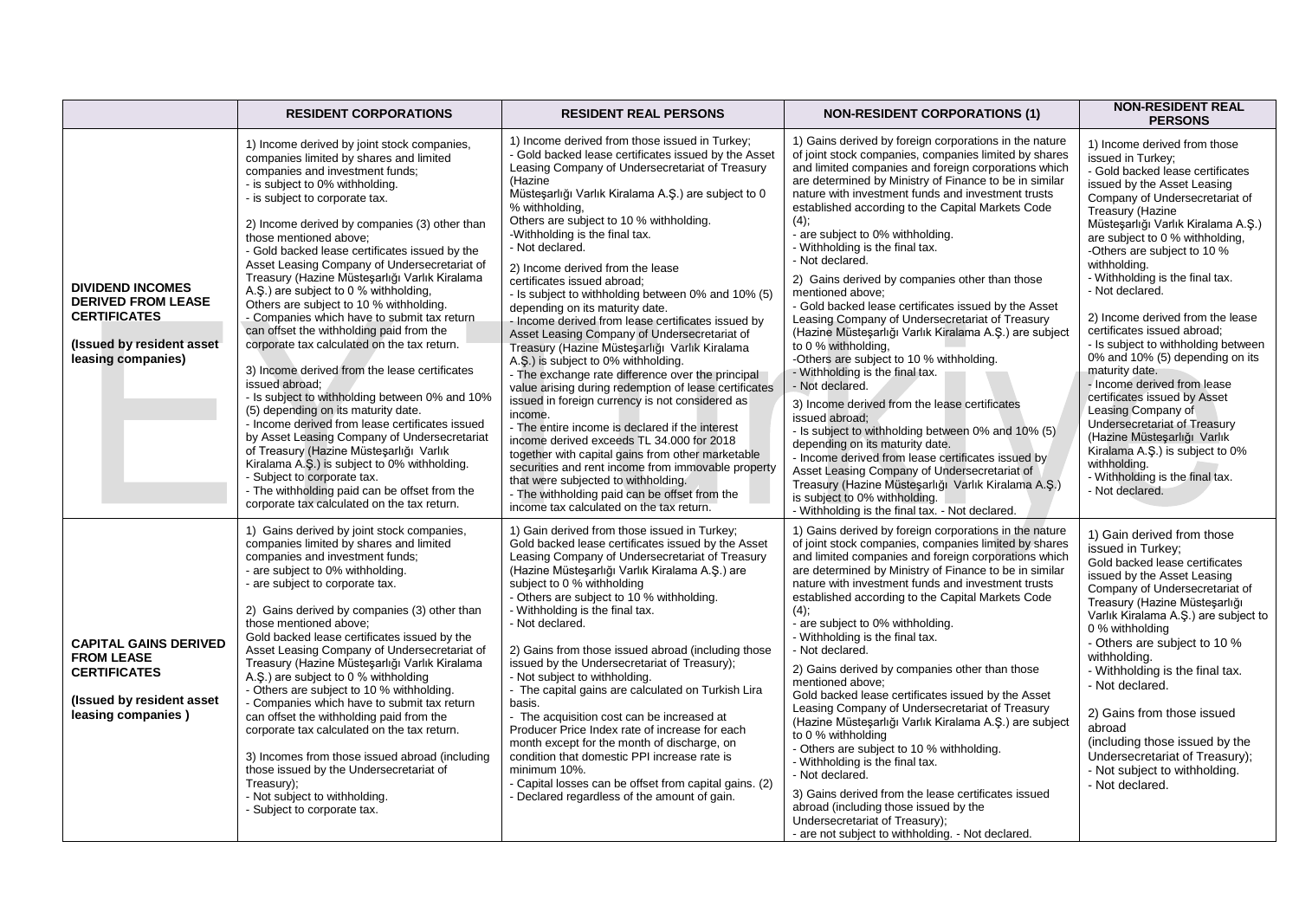|                                                                                                                                | <b>RESIDENT CORPORATIONS</b>                                                                                                                                                                                                                                                                                                                                                                                                                                                                                                                                                                                                                                                                                                                                                                                                                                                                                                                                                                                                                                                                                                                        | <b>RESIDENT REAL PERSONS</b>                                                                                                                                                                                                                                                                                                                                                                                                                                                                                                                                                                                                                                                                                                                                                                                                                                                                                                                                                                                                                                                                                                                                                                                                       | <b>NON-RESIDENT CORPORATIONS (1)</b>                                                                                                                                                                                                                                                                                                                                                                                                                                                                                                                                                                                                                                                                                                                                                                                                                                                                                                                                                                                                                                                                                                                                                                                            | <b>NON-RESIDENT REAL</b><br><b>PERSONS</b>                                                                                                                                                                                                                                                                                                                                                                                                                                                                                                                                                                                                                                                                                                                                           |
|--------------------------------------------------------------------------------------------------------------------------------|-----------------------------------------------------------------------------------------------------------------------------------------------------------------------------------------------------------------------------------------------------------------------------------------------------------------------------------------------------------------------------------------------------------------------------------------------------------------------------------------------------------------------------------------------------------------------------------------------------------------------------------------------------------------------------------------------------------------------------------------------------------------------------------------------------------------------------------------------------------------------------------------------------------------------------------------------------------------------------------------------------------------------------------------------------------------------------------------------------------------------------------------------------|------------------------------------------------------------------------------------------------------------------------------------------------------------------------------------------------------------------------------------------------------------------------------------------------------------------------------------------------------------------------------------------------------------------------------------------------------------------------------------------------------------------------------------------------------------------------------------------------------------------------------------------------------------------------------------------------------------------------------------------------------------------------------------------------------------------------------------------------------------------------------------------------------------------------------------------------------------------------------------------------------------------------------------------------------------------------------------------------------------------------------------------------------------------------------------------------------------------------------------|---------------------------------------------------------------------------------------------------------------------------------------------------------------------------------------------------------------------------------------------------------------------------------------------------------------------------------------------------------------------------------------------------------------------------------------------------------------------------------------------------------------------------------------------------------------------------------------------------------------------------------------------------------------------------------------------------------------------------------------------------------------------------------------------------------------------------------------------------------------------------------------------------------------------------------------------------------------------------------------------------------------------------------------------------------------------------------------------------------------------------------------------------------------------------------------------------------------------------------|--------------------------------------------------------------------------------------------------------------------------------------------------------------------------------------------------------------------------------------------------------------------------------------------------------------------------------------------------------------------------------------------------------------------------------------------------------------------------------------------------------------------------------------------------------------------------------------------------------------------------------------------------------------------------------------------------------------------------------------------------------------------------------------|
| <b>DIVIDEND INCOMES</b><br><b>DERIVED FROM LEASE</b><br><b>CERTIFICATES</b><br>(Issued by resident asset<br>leasing companies) | 1) Income derived by joint stock companies,<br>companies limited by shares and limited<br>companies and investment funds;<br>- is subject to 0% withholding.<br>- is subject to corporate tax.<br>2) Income derived by companies (3) other than<br>those mentioned above:<br>- Gold backed lease certificates issued by the<br>Asset Leasing Company of Undersecretariat of<br>Treasury (Hazine Müstesarlığı Varlık Kiralama<br>A.S.) are subject to 0 % withholding,<br>Others are subject to 10 % withholding.<br>- Companies which have to submit tax return<br>can offset the withholding paid from the<br>corporate tax calculated on the tax return.<br>3) Income derived from the lease certificates<br>issued abroad:<br>- Is subject to withholding between 0% and 10%<br>(5) depending on its maturity date.<br>- Income derived from lease certificates issued<br>by Asset Leasing Company of Undersecretariat<br>of Treasury (Hazine Müstesarlığı Varlık<br>Kiralama A.S.) is subject to 0% withholding.<br>- Subject to corporate tax.<br>- The withholding paid can be offset from the<br>corporate tax calculated on the tax return. | 1) Income derived from those issued in Turkey;<br>- Gold backed lease certificates issued by the Asset<br>Leasing Company of Undersecretariat of Treasury<br>(Hazine<br>Müsteşarlığı Varlık Kiralama A.Ş.) are subject to 0<br>% withholding,<br>Others are subject to 10 % withholding.<br>-Withholding is the final tax.<br>- Not declared.<br>2) Income derived from the lease<br>certificates issued abroad;<br>- Is subject to withholding between 0% and 10% (5)<br>depending on its maturity date.<br>- Income derived from lease certificates issued by<br>Asset Leasing Company of Undersecretariat of<br>Treasury (Hazine Müsteşarlığı Varlık Kiralama<br>A.S.) is subject to 0% withholding.<br>- The exchange rate difference over the principal<br>value arising during redemption of lease certificates<br>issued in foreign currency is not considered as<br>income.<br>- The entire income is declared if the interest<br>income derived exceeds TL 34.000 for 2018<br>together with capital gains from other marketable<br>securities and rent income from immovable property<br>that were subjected to withholding.<br>- The withholding paid can be offset from the<br>income tax calculated on the tax return. | 1) Gains derived by foreign corporations in the nature<br>of joint stock companies, companies limited by shares<br>and limited companies and foreign corporations which<br>are determined by Ministry of Finance to be in similar<br>nature with investment funds and investment trusts<br>established according to the Capital Markets Code<br>(4);<br>- are subject to 0% withholding.<br>- Withholding is the final tax.<br>- Not declared.<br>2) Gains derived by companies other than those<br>mentioned above;<br>- Gold backed lease certificates issued by the Asset<br>Leasing Company of Undersecretariat of Treasury<br>(Hazine Müsteşarlığı Varlık Kiralama A.Ş.) are subject<br>to 0 % withholding,<br>-Others are subject to 10 % withholding.<br>- Withholding is the final tax.<br>- Not declared.<br>3) Income derived from the lease certificates<br>issued abroad:<br>- Is subject to withholding between 0% and 10% (5)<br>depending on its maturity date.<br>- Income derived from lease certificates issued by<br>Asset Leasing Company of Undersecretariat of<br>Treasury (Hazine Müsteşarlığı Varlık Kiralama A.Ş.)<br>is subject to 0% withholding.<br>- Withholding is the final tax. - Not declared. | 1) Income derived from those<br>issued in Turkey:<br>- Gold backed lease certificates<br>issued by the Asset Leasing<br>Company of Undersecretariat of<br>Treasury (Hazine<br>Müsteşarlığı Varlık Kiralama A.Ş.)<br>are subject to 0 % withholding,<br>-Others are subject to 10 %<br>withholding.<br>- Withholding is the final tax.<br>- Not declared.<br>2) Income derived from the lease<br>certificates issued abroad;<br>- Is subject to withholding between<br>0% and 10% (5) depending on its<br>maturity date.<br>- Income derived from lease<br>certificates issued by Asset<br>Leasing Company of<br>Undersecretariat of Treasury<br>(Hazine Müsteşarlığı Varlık<br>Kiralama A.Ş.) is subject to 0%<br>withholding.<br>- Withholding is the final tax.<br>- Not declared. |
| <b>CAPITAL GAINS DERIVED</b><br><b>FROM LEASE</b><br><b>CERTIFICATES</b><br>(Issued by resident asset<br>leasing companies)    | 1) Gains derived by joint stock companies,<br>companies limited by shares and limited<br>companies and investment funds;<br>- are subject to 0% withholding.<br>- are subject to corporate tax.<br>2) Gains derived by companies (3) other than<br>those mentioned above;<br>Gold backed lease certificates issued by the<br>Asset Leasing Company of Undersecretariat of<br>Treasury (Hazine Müsteşarlığı Varlık Kiralama<br>A.S.) are subject to 0 % withholding<br>- Others are subject to 10 % withholding.<br>- Companies which have to submit tax return<br>can offset the withholding paid from the<br>corporate tax calculated on the tax return.<br>3) Incomes from those issued abroad (including<br>those issued by the Undersecretariat of<br>Treasury);<br>- Not subject to withholding.<br>- Subject to corporate tax.                                                                                                                                                                                                                                                                                                                | 1) Gain derived from those issued in Turkey;<br>Gold backed lease certificates issued by the Asset<br>Leasing Company of Undersecretariat of Treasury<br>(Hazine Müstesarlığı Varlık Kiralama A.S.) are<br>subject to 0 % withholding<br>- Others are subject to 10 % withholding.<br>- Withholding is the final tax.<br>- Not declared.<br>2) Gains from those issued abroad (including those<br>issued by the Undersecretariat of Treasury);<br>- Not subject to withholding.<br>- The capital gains are calculated on Turkish Lira<br>basis.<br>- The acquisition cost can be increased at<br>Producer Price Index rate of increase for each<br>month except for the month of discharge, on<br>condition that domestic PPI increase rate is<br>minimum 10%.<br>- Capital losses can be offset from capital gains. (2)<br>- Declared regardless of the amount of gain.                                                                                                                                                                                                                                                                                                                                                           | 1) Gains derived by foreign corporations in the nature<br>of joint stock companies, companies limited by shares<br>and limited companies and foreign corporations which<br>are determined by Ministry of Finance to be in similar<br>nature with investment funds and investment trusts<br>established according to the Capital Markets Code<br>(4);<br>- are subject to 0% withholding.<br>- Withholding is the final tax.<br>- Not declared.<br>2) Gains derived by companies other than those<br>mentioned above:<br>Gold backed lease certificates issued by the Asset<br>Leasing Company of Undersecretariat of Treasury<br>(Hazine Müsteşarlığı Varlık Kiralama A.Ş.) are subject<br>to 0 % withholding<br>- Others are subject to 10 % withholding.<br>- Withholding is the final tax.<br>- Not declared.<br>3) Gains derived from the lease certificates issued<br>abroad (including those issued by the<br>Undersecretariat of Treasury);<br>- are not subject to withholding. - Not declared.                                                                                                                                                                                                                         | 1) Gain derived from those<br>issued in Turkey;<br>Gold backed lease certificates<br>issued by the Asset Leasing<br>Company of Undersecretariat of<br>Treasury (Hazine Müsteşarlığı<br>Varlık Kiralama A.Ş.) are subject to<br>0 % withholding<br>- Others are subject to 10 %<br>withholding.<br>- Withholding is the final tax.<br>- Not declared.<br>2) Gains from those issued<br>abroad<br>(including those issued by the<br>Undersecretariat of Treasury);<br>- Not subject to withholding.<br>- Not declared.                                                                                                                                                                                                                                                                 |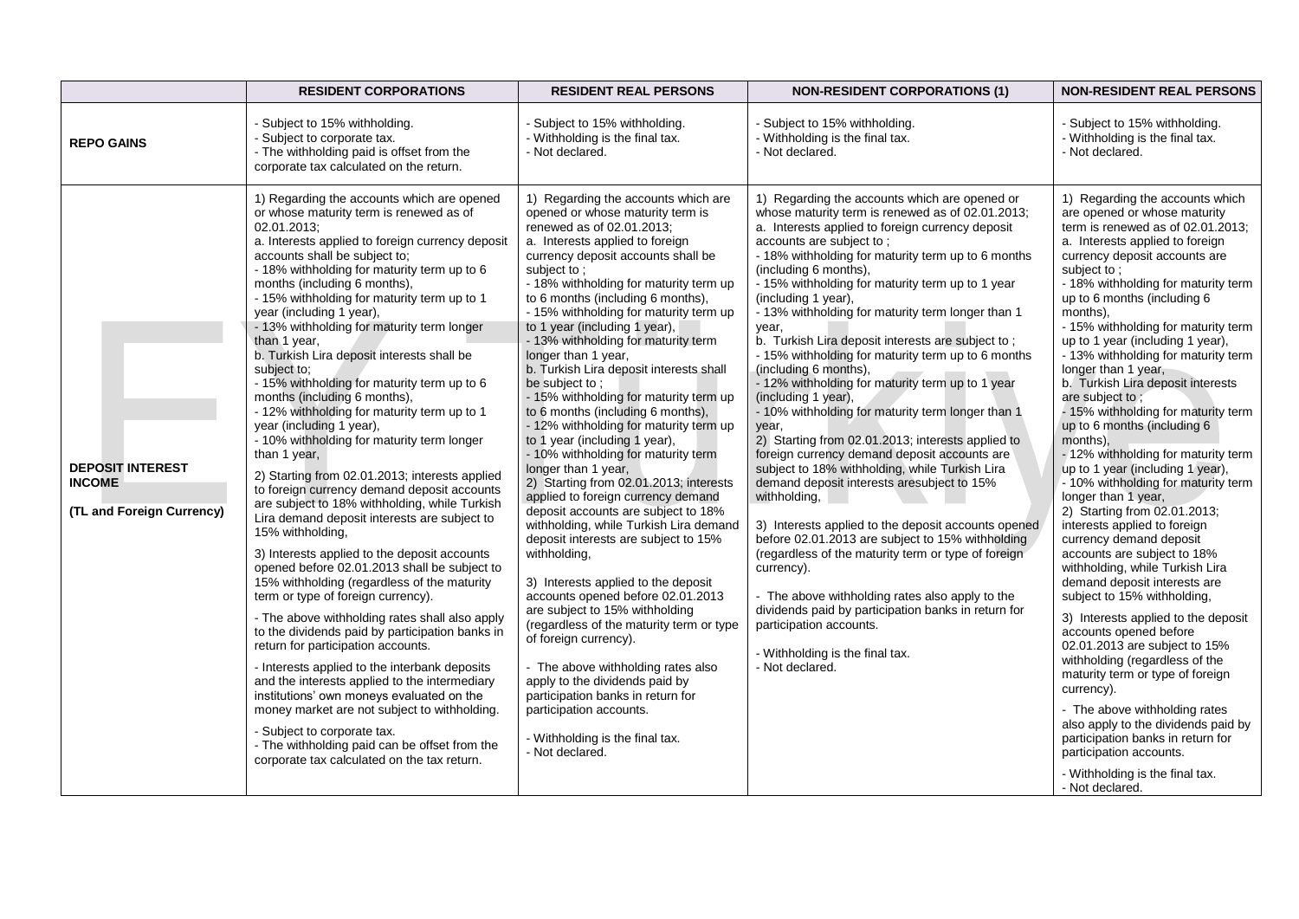|                                                                       | <b>RESIDENT CORPORATIONS</b>                                                                                                                                                                                                                                                                                                                                                                                                                                                                                                                                                                                                                                                                                                                                                                                                                                                                                                                                                                                                                                                                                                                                                                                                                                                                                                                                                                                                                                                                                                                                                               | <b>RESIDENT REAL PERSONS</b>                                                                                                                                                                                                                                                                                                                                                                                                                                                                                                                                                                                                                                                                                                                                                                                                                                                                                                                                                                                                                                                                                                                                                                                                                                                                                        | <b>NON-RESIDENT CORPORATIONS (1)</b>                                                                                                                                                                                                                                                                                                                                                                                                                                                                                                                                                                                                                                                                                                                                                                                                                                                                                                                                                                                                                                                                                                                                                                                                                                                   | <b>NON-RESIDENT REAL PERSONS</b>                                                                                                                                                                                                                                                                                                                                                                                                                                                                                                                                                                                                                                                                                                                                                                                                                                                                                                                                                                                                                                                                                                                                                                                                                                                                                         |
|-----------------------------------------------------------------------|--------------------------------------------------------------------------------------------------------------------------------------------------------------------------------------------------------------------------------------------------------------------------------------------------------------------------------------------------------------------------------------------------------------------------------------------------------------------------------------------------------------------------------------------------------------------------------------------------------------------------------------------------------------------------------------------------------------------------------------------------------------------------------------------------------------------------------------------------------------------------------------------------------------------------------------------------------------------------------------------------------------------------------------------------------------------------------------------------------------------------------------------------------------------------------------------------------------------------------------------------------------------------------------------------------------------------------------------------------------------------------------------------------------------------------------------------------------------------------------------------------------------------------------------------------------------------------------------|---------------------------------------------------------------------------------------------------------------------------------------------------------------------------------------------------------------------------------------------------------------------------------------------------------------------------------------------------------------------------------------------------------------------------------------------------------------------------------------------------------------------------------------------------------------------------------------------------------------------------------------------------------------------------------------------------------------------------------------------------------------------------------------------------------------------------------------------------------------------------------------------------------------------------------------------------------------------------------------------------------------------------------------------------------------------------------------------------------------------------------------------------------------------------------------------------------------------------------------------------------------------------------------------------------------------|----------------------------------------------------------------------------------------------------------------------------------------------------------------------------------------------------------------------------------------------------------------------------------------------------------------------------------------------------------------------------------------------------------------------------------------------------------------------------------------------------------------------------------------------------------------------------------------------------------------------------------------------------------------------------------------------------------------------------------------------------------------------------------------------------------------------------------------------------------------------------------------------------------------------------------------------------------------------------------------------------------------------------------------------------------------------------------------------------------------------------------------------------------------------------------------------------------------------------------------------------------------------------------------|--------------------------------------------------------------------------------------------------------------------------------------------------------------------------------------------------------------------------------------------------------------------------------------------------------------------------------------------------------------------------------------------------------------------------------------------------------------------------------------------------------------------------------------------------------------------------------------------------------------------------------------------------------------------------------------------------------------------------------------------------------------------------------------------------------------------------------------------------------------------------------------------------------------------------------------------------------------------------------------------------------------------------------------------------------------------------------------------------------------------------------------------------------------------------------------------------------------------------------------------------------------------------------------------------------------------------|
| <b>REPO GAINS</b>                                                     | - Subject to 15% withholding.<br>- Subject to corporate tax.<br>- The withholding paid is offset from the<br>corporate tax calculated on the return.                                                                                                                                                                                                                                                                                                                                                                                                                                                                                                                                                                                                                                                                                                                                                                                                                                                                                                                                                                                                                                                                                                                                                                                                                                                                                                                                                                                                                                       | - Subject to 15% withholding.<br>- Withholding is the final tax.<br>- Not declared.                                                                                                                                                                                                                                                                                                                                                                                                                                                                                                                                                                                                                                                                                                                                                                                                                                                                                                                                                                                                                                                                                                                                                                                                                                 | - Subject to 15% withholding.<br>- Withholding is the final tax.<br>- Not declared.                                                                                                                                                                                                                                                                                                                                                                                                                                                                                                                                                                                                                                                                                                                                                                                                                                                                                                                                                                                                                                                                                                                                                                                                    | - Subject to 15% withholding.<br>- Withholding is the final tax.<br>- Not declared.                                                                                                                                                                                                                                                                                                                                                                                                                                                                                                                                                                                                                                                                                                                                                                                                                                                                                                                                                                                                                                                                                                                                                                                                                                      |
| <b>DEPOSIT INTEREST</b><br><b>INCOME</b><br>(TL and Foreign Currency) | 1) Regarding the accounts which are opened<br>or whose maturity term is renewed as of<br>02.01.2013;<br>a. Interests applied to foreign currency deposit<br>accounts shall be subject to:<br>- 18% withholding for maturity term up to 6<br>months (including 6 months),<br>- 15% withholding for maturity term up to 1<br>year (including 1 year),<br>- 13% withholding for maturity term longer<br>than 1 year,<br>b. Turkish Lira deposit interests shall be<br>subject to;<br>- 15% withholding for maturity term up to 6<br>months (including 6 months),<br>- 12% withholding for maturity term up to 1<br>year (including 1 year),<br>- 10% withholding for maturity term longer<br>than 1 year,<br>2) Starting from 02.01.2013; interests applied<br>to foreign currency demand deposit accounts<br>are subject to 18% withholding, while Turkish<br>Lira demand deposit interests are subject to<br>15% withholding,<br>3) Interests applied to the deposit accounts<br>opened before 02.01.2013 shall be subject to<br>15% withholding (regardless of the maturity<br>term or type of foreign currency).<br>- The above withholding rates shall also apply<br>to the dividends paid by participation banks in<br>return for participation accounts.<br>- Interests applied to the interbank deposits<br>and the interests applied to the intermediary<br>institutions' own moneys evaluated on the<br>money market are not subject to withholding.<br>- Subject to corporate tax.<br>- The withholding paid can be offset from the<br>corporate tax calculated on the tax return. | 1) Regarding the accounts which are<br>opened or whose maturity term is<br>renewed as of 02.01.2013;<br>a. Interests applied to foreign<br>currency deposit accounts shall be<br>subject to:<br>- 18% withholding for maturity term up<br>to 6 months (including 6 months),<br>- 15% withholding for maturity term up<br>to 1 year (including 1 year),<br>- 13% withholding for maturity term<br>longer than 1 year,<br>b. Turkish Lira deposit interests shall<br>be subject to;<br>- 15% withholding for maturity term up<br>to 6 months (including 6 months),<br>- 12% withholding for maturity term up<br>to 1 year (including 1 year),<br>- 10% withholding for maturity term<br>longer than 1 year,<br>2) Starting from 02.01.2013; interests<br>applied to foreign currency demand<br>deposit accounts are subject to 18%<br>withholding, while Turkish Lira demand<br>deposit interests are subject to 15%<br>withholding,<br>3) Interests applied to the deposit<br>accounts opened before 02.01.2013<br>are subject to 15% withholding<br>(regardless of the maturity term or type<br>of foreign currency).<br>- The above withholding rates also<br>apply to the dividends paid by<br>participation banks in return for<br>participation accounts.<br>- Withholding is the final tax.<br>- Not declared. | 1) Regarding the accounts which are opened or<br>whose maturity term is renewed as of 02.01.2013;<br>a. Interests applied to foreign currency deposit<br>accounts are subject to;<br>- 18% withholding for maturity term up to 6 months<br>(including 6 months),<br>- 15% withholding for maturity term up to 1 year<br>(including 1 year),<br>- 13% withholding for maturity term longer than 1<br>year,<br>b. Turkish Lira deposit interests are subject to;<br>- 15% withholding for maturity term up to 6 months<br>(including 6 months),<br>- 12% withholding for maturity term up to 1 year<br>(including 1 year),<br>- 10% withholding for maturity term longer than 1<br>year,<br>2) Starting from 02.01.2013; interests applied to<br>foreign currency demand deposit accounts are<br>subject to 18% withholding, while Turkish Lira<br>demand deposit interests aresubject to 15%<br>withholding,<br>3) Interests applied to the deposit accounts opened<br>before 02.01.2013 are subject to 15% withholding<br>(regardless of the maturity term or type of foreign<br>currency).<br>- The above withholding rates also apply to the<br>dividends paid by participation banks in return for<br>participation accounts.<br>- Withholding is the final tax.<br>- Not declared. | 1) Regarding the accounts which<br>are opened or whose maturity<br>term is renewed as of $02.01.2013$ ;<br>a. Interests applied to foreign<br>currency deposit accounts are<br>subject to:<br>- 18% withholding for maturity term<br>up to 6 months (including 6<br>months).<br>- 15% withholding for maturity term<br>up to 1 year (including 1 year),<br>- 13% withholding for maturity term<br>longer than 1 year,<br>b. Turkish Lira deposit interests<br>are subject to;<br>- 15% withholding for maturity term<br>up to 6 months (including 6<br>months).<br>- 12% withholding for maturity term<br>up to 1 year (including 1 year),<br>- 10% withholding for maturity term<br>longer than 1 year,<br>2) Starting from 02.01.2013;<br>interests applied to foreign<br>currency demand deposit<br>accounts are subject to 18%<br>withholding, while Turkish Lira<br>demand deposit interests are<br>subject to 15% withholding,<br>3) Interests applied to the deposit<br>accounts opened before<br>02.01.2013 are subject to 15%<br>withholding (regardless of the<br>maturity term or type of foreign<br>currency).<br>- The above withholding rates<br>also apply to the dividends paid by<br>participation banks in return for<br>participation accounts.<br>- Withholding is the final tax.<br>- Not declared. |